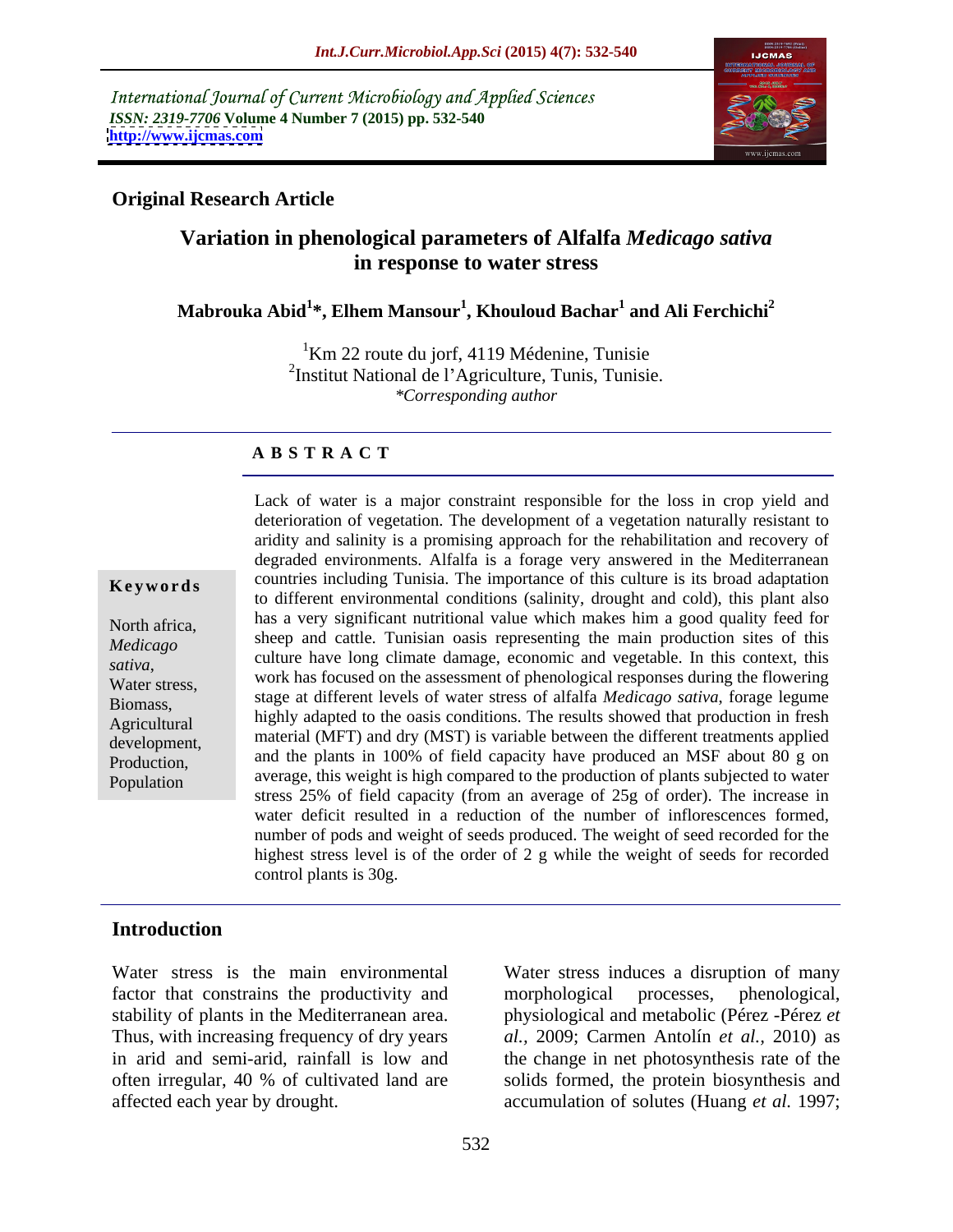International Journal of Current Microbiology and Applied Sciences *ISSN: 2319-7706* **Volume 4 Number 7 (2015) pp. 532-540 <http://www.ijcmas.com>**



## **Original Research Article**

# **Variation in phenological parameters of Alfalfa** *Medicago sativa* **in response to water stress**

#### **Mabrouka Abid<sup>1</sup> \*, Elhem Mansour<sup>1</sup> , Khouloud Bachar<sup>1</sup> and Ali Ferchichi<sup>2</sup>**

 $1$ Km 22 route du jorf, 4119 Médenine, Tunisie <sup>2</sup>Institut National de l'Agriculture, Tunis, Tunisie. *\*Corresponding author*

#### **A B S T R A C T**

Lack of water is a major constraint responsible for the loss in crop yield and deterioration of vegetation. The development of a vegetation naturally resistant to aridity and salinity is a promising approach for the rehabilitation and recovery of degraded environments. Alfalfa is a forage very answered in the Mediterranean **Keywords** countries including Tunisia. The importance of this culture is its broad adaptation to different environmental conditions (salinity, drought and cold), this plant also has a very significant nutritional value which makes him a good quality feed for North africa, sheep and cattle. Tunisian oasis representing the main production sites of this *Medicago*  culture have long climate damage, economic and vegetable. In this context, this *sativa*, work has focused on the assessment of phenological responses during the flowering Water stress, stage at different levels of water stress of alfalfa *Medicago sativa*, forage legume Biomass, Agricultural highly adapted to the oasis conditions. The results showed that production in fresh<br>Agricultural development, material (MFT) and dry (MST) is variable between the different treatments applied and the plants in 100% of field capacity have produced an MSF about 80 g on Production, Population average, this weight is high compared to the production of plants subjected to water Population stress 25% of field capacity (from an average of 25g of order). The increase in water deficit resulted in a reduction of the number of inflorescences formed, number of pods and weight of seeds produced. The weight of seed recorded for the highest stress level is of the order of 2 g while the weight of seeds for recorded control plants is 30g.

# **Introduction**

factor that constrains the productivity and morphological processes, phenological, stability of plants in the Mediterranean area.

Water stress is the main environmental Water stress induces a disruption of many Thus, with increasing frequency of dry years *al.,* 2009; Carmen Antolín *et al.,* 2010) as in arid and semi-arid, rainfall is low and the change in net photosynthesis rate of the often irregular, 40 % of cultivated land are solids formed, the protein biosynthesis and affected each year by drought. accumulation of solutes (Huang *et al.* 1997; morphological processes, phenological, physiological and metabolic (Pérez -Pérez *et*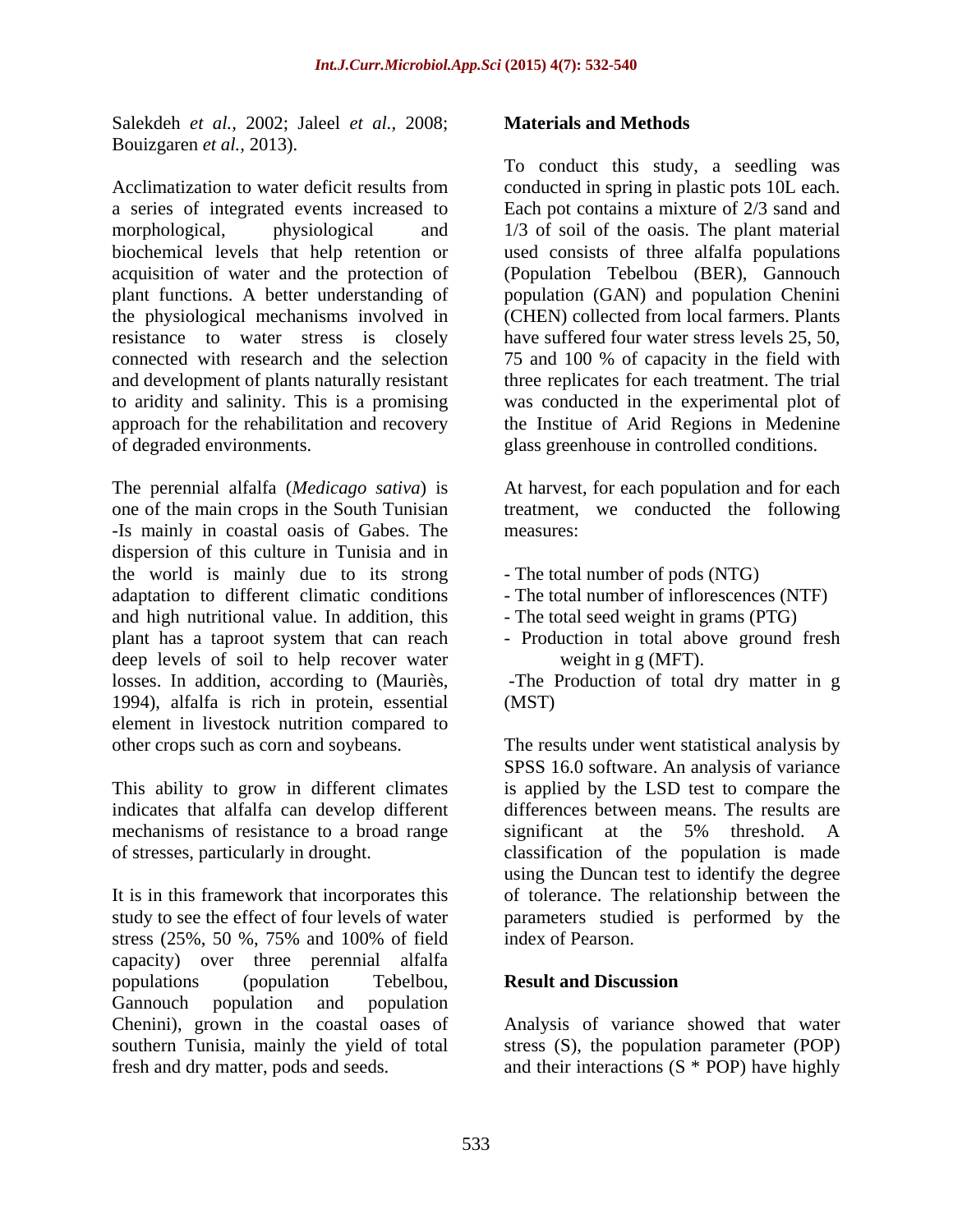Salekdeh *et al.,* 2002; Jaleel *et al.,* 2008; Bouizgaren *et al.,* 2013).

Acclimatization to water deficit results from conducted in spring in plastic pots 10L each. a series of integrated events increased to Each pot contains a mixture of 2/3 sand and morphological, physiological and 1/3 of soil of the oasis. The plant material biochemical levels that help retention or used consists of three alfalfa populations acquisition of water and the protection of (Population Tebelbou (BER), Gannouch plant functions. A better understanding of population (GAN) and population Chenini the physiological mechanisms involved in (CHEN) collected from local farmers.Plants resistance to water stress is closely have suffered four water stress levels 25, 50, connected with research and the selection 75 and 100 % of capacity in the field with and development of plants naturally resistant three replicates for each treatment. The trial to aridity and salinity. This is a promising approach for the rehabilitation and recovery the Institue of Arid Regions in Medenine of degraded environments. glass greenhouse in controlled conditions.

The perennial alfalfa (*Medicago sativa*) is At harvest, for each population and for each one of the main crops in the South Tunisian treatment, we conducted the following -Is mainly in coastal oasis of Gabes. The dispersion of this culture in Tunisia and in the world is mainly due to its strong adaptation to different climatic conditions - The total number of inflorescences (NTF) and high nutritional value. In addition, this The total seed weight in grams (PTG) plant has a taproot system that can reach - Production in total above ground fresh deep levels of soil to help recover water losses. In addition, according to (Mauriès, The Production of total dry matter in g 1994), alfalfa is rich in protein, essential element in livestock nutrition compared to

indicates that alfalfa can develop different mechanisms of resistance to a broad range significant at the 5% threshold. A

stress (25%, 50 %, 75% and 100% of field capacity) over three perennial alfalfa populations (population Tebelbou, Result and Discussion Gannouch population and population

#### **Materials and Methods**

To conduct this study, a seedling was have suffered four water stress levels 25, 50, 75 and <sup>100</sup> % of capacity in the field with was conducted in the experimental plot of

measures: which is a set of the set of the set of the set of the set of the set of the set of the set of the set of the set of the set of the set of the set of the set of the set of the set of the set of the set of the set

- The total number of pods (NTG)
- 
- 
- The total number of inflorescences (NTF)<br>- The total seed weight in grams (PTG)<br>- Production in total above ground fresh weight in g (MFT).

(MST)

other crops such as corn and soybeans. The results under went statistical analysis by This ability to grow in different climates is applied by the LSD test to compare the of stresses, particularly in drought. classification of the population is made It is in this framework that incorporates this of tolerance. The relationship between the study to see the effect of four levels of water parameters studied is performed by the SPSS 16.0 software. An analysis of variance differences between means. The results are significant at the 5% threshold. A using the Duncan test to identify the degree index of Pearson.

## **Result and Discussion**

Chenini), grown in the coastal oases of Analysis of variance showed that water southern Tunisia, mainly the yield of total stress (S), the population parameter (POP) fresh and dry matter, pods and seeds. and their interactions (S \* POP) have highly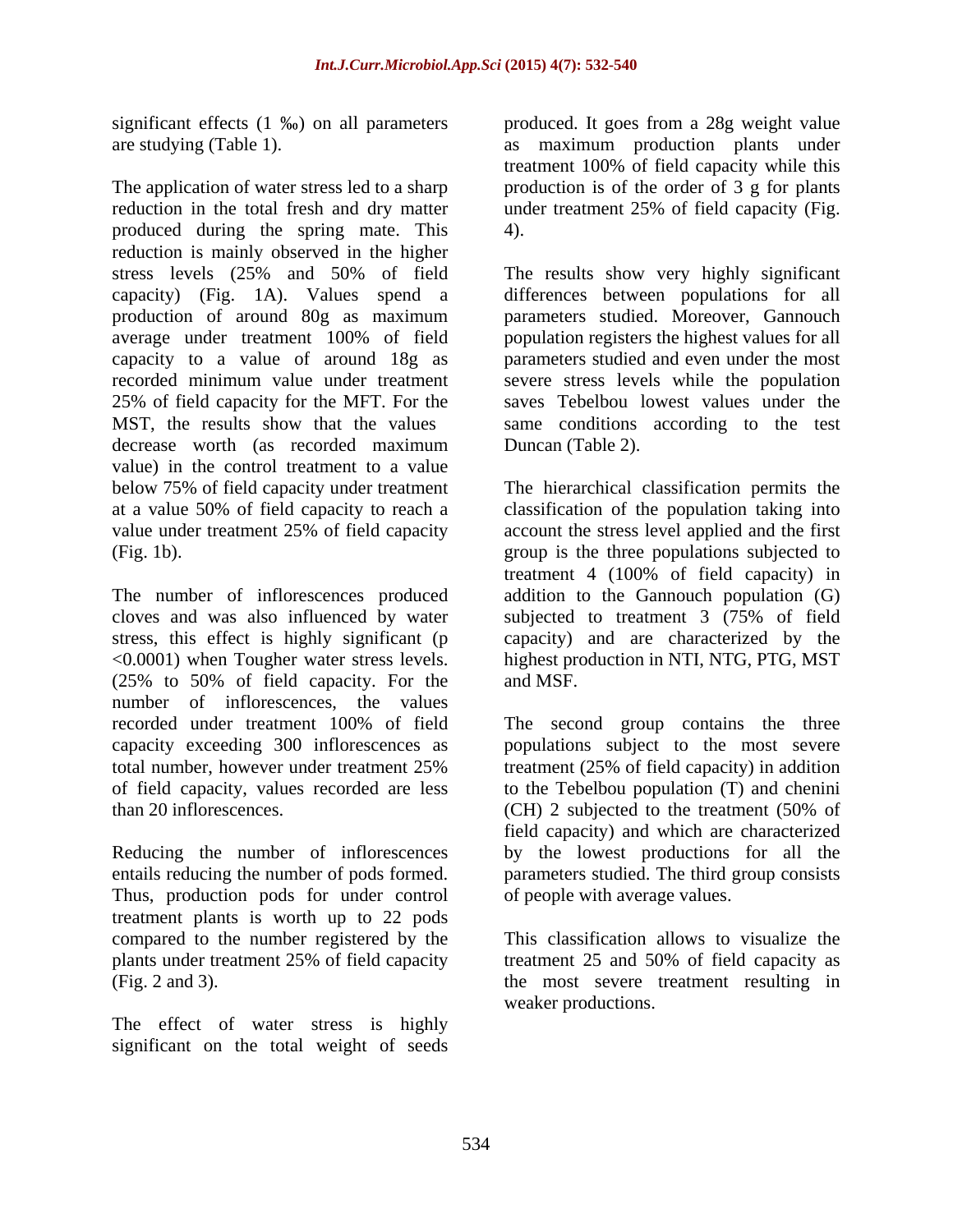significant effects  $(1 \text{ %})$  on all parameters

The application of water stress led to a sharp reduction in the total fresh and dry matter under treatment 25% of field capacity (Fig. produced during the spring mate. This reduction is mainly observed in the higher stress levels (25% and 50% of field The results show very highly significant capacity) (Fig. 1A). Values spend a differences between populations for all production of around 80g as maximum parameters studied. Moreover, Gannouch average under treatment 100% of field population registers the highest values for all capacity to a value of around 18g as recorded minimum value under treatment severe stress levels while the population 25% of field capacity for the MFT. For the MST, the results show that the values same conditions according to the test decrease worth (as recorded maximum value) in the control treatment to a value below 75% of field capacity under treatment The hierarchical classification permits the at a value 50% of field capacity to reach a value under treatment 25% of field capacity account the stress level applied and the first

<0.0001) when Tougher water stress levels. (25% to 50% of field capacity. For the number of inflorescences, the values recorded under treatment 100% of field The second group contains the three capacity exceeding 300 inflorescences as populations subject to the most severe total number, however under treatment 25% treatment (25% of field capacity) in addition of field capacity, values recorded are less to the Tebelbou population (T) and chenini

Reducing the number of inflorescences entails reducing the number of pods formed. Thus, production pods for under control treatment plants is worth up to 22 pods

The effect of water stress is highly significant on the total weight of seeds

are studying (Table 1). as maximum production plants under produced. It goes from a 28g weight value treatment 100% of field capacity while this production is of the order of 3 g for plants under treatment 25% of field capacity (Fig. 4).

> parameters studied and even under the most saves Tebelbou lowest values under the Duncan (Table 2).

(Fig. 1b). group is the three populations subjected to The number of inflorescences produced addition to the Gannouch population (G) cloves and was also influenced by water subjected to treatment 3 (75% of field stress, this effect is highly significant (p capacity) and are characterized by the classification of the population taking into treatment 4 (100% of field capacity) in highest production in NTI, NTG, PTG, MST and MSF.

than 20 inflorescences. (CH) 2 subjected to the treatment (50% of field capacity) and which are characterized by the lowest productions for all the parameters studied. The third group consists of people with average values.

compared to the number registered by the Thisclassification allows to visualize the plants under treatment 25% of field capacity treatment 25 and 50% of field capacity as (Fig. 2 and 3). the most severe treatment resulting in weaker productions.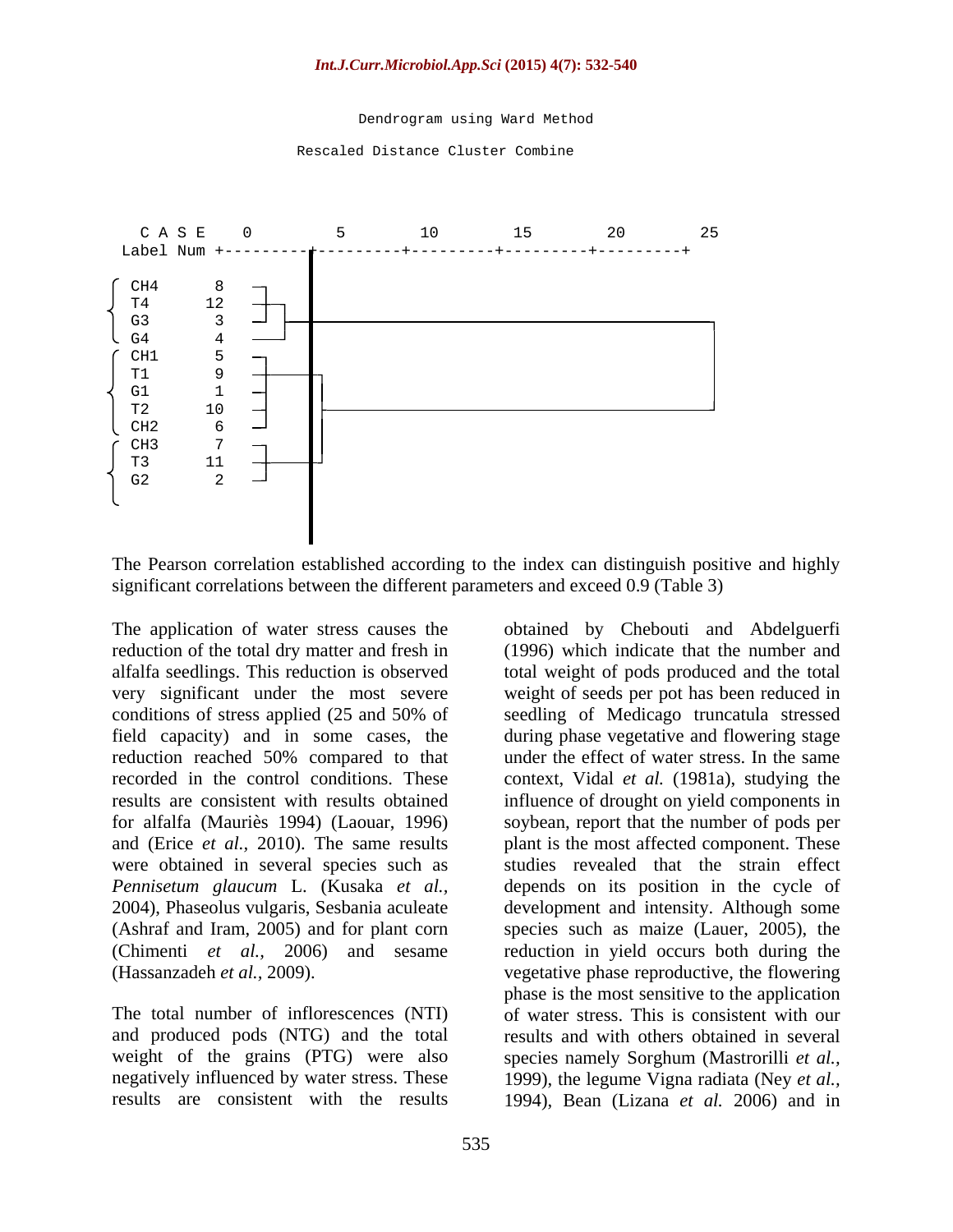Dendrogram using Ward Method

Rescaled Distance Cluster Combine



The Pearson correlation established according to the index can distinguish positive and highly significant correlations between the different parameters and exceed 0.9 (Table 3)

The application of water stress causes the reduction of the total dry matter and fresh in (1996) which indicate that the number and alfalfa seedlings. This reduction is observed total weight of pods produced and the total very significant under the most severe weight of seeds per pot has been reduced in conditions of stress applied (25 and 50% of field capacity) and in some cases, the during phase vegetative and flowering stage reduction reached 50% compared to that recorded in the control conditions. These context, Vidal *et al.* (1981a), studying the results are consistent with results obtained influence of drought on yield components in for alfalfa (Mauriès 1994) (Laouar, 1996) soybean, report that the number of pods per and (Erice *et al.*, 2010). The same results were obtained in several species such as studies revealed that the strain effect *Pennisetum glaucum* L. (Kusaka *et al.,* depends on its position in the cycle of 2004), Phaseolus vulgaris, Sesbania aculeate development and intensity. Although some (Ashraf and Iram, 2005) and for plant corn species such as maize (Lauer, 2005), the (Chimenti *et al.,* 2006) and sesame reduction in yield occurs both during the (Hassanzadeh *et al.,* 2009). vegetative phase reproductive, the flowering

The total number of inflorescences (NTI) and produced pods (NTG) and the total negatively influenced by water stress. These

weight of the grains (PTG) were also species namely Sorghum (Mastrorilli *et al.,* results are consistent with the results 1994), Bean (Lizana *et al.* 2006) and inobtained by Chebouti and Abdelguerfi seedling of Medicago truncatula stressed under the effect of water stress. In the same plant is the most affected component. These phase is the most sensitive to the application of water stress. This is consistent with our results and with others obtained in several 1999), the legume Vigna radiata (Ney *et al.,*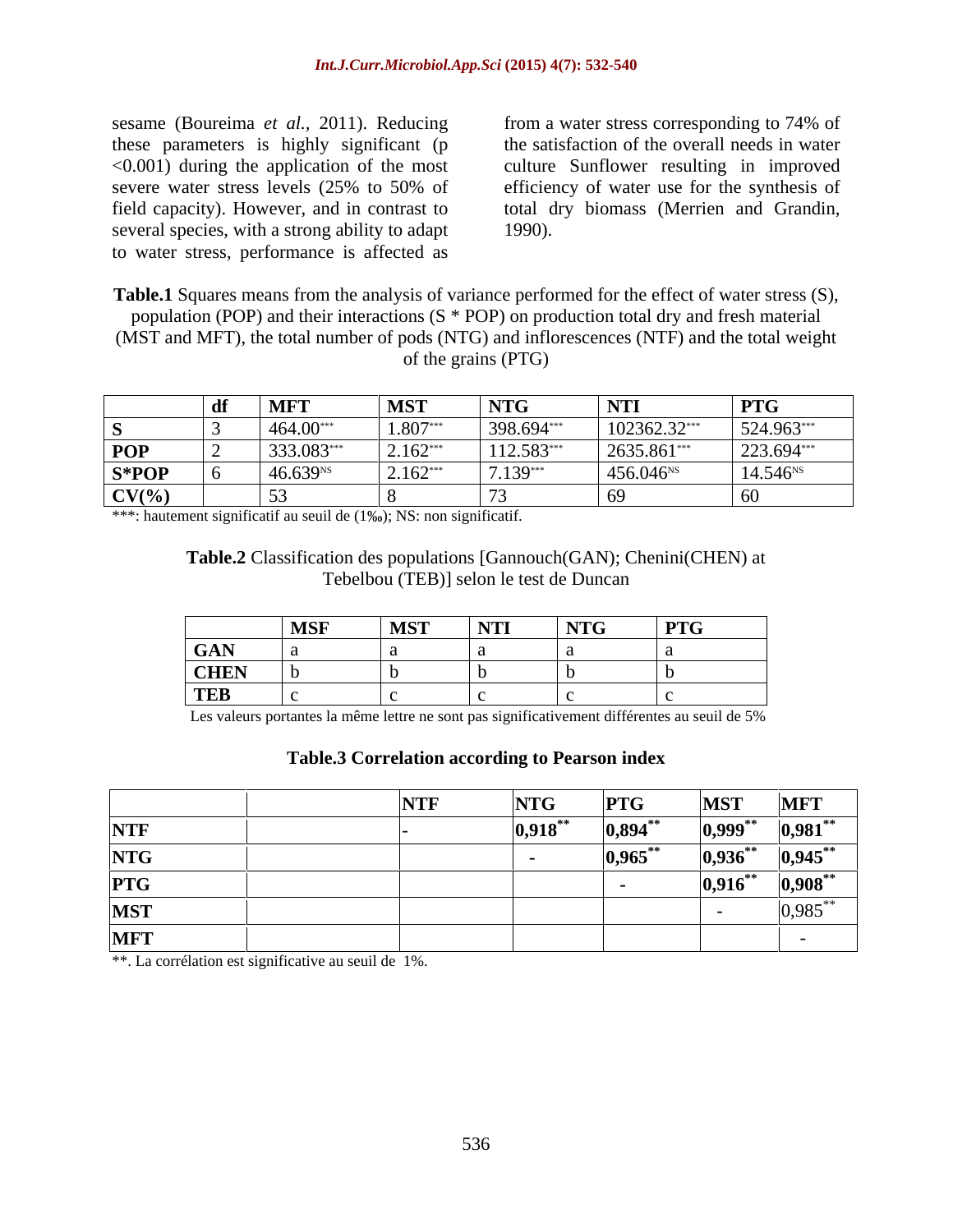sesame (Boureima *et al.,* 2011). Reducing these parameters is highly significant (p several species, with a strong ability to adapt 1990). to water stress, performance is affected as

<0.001) during the application of the most culture Sunflower resulting in improved severe water stress levels (25% to 50% of efficiency of water use for the synthesis of field capacity). However, and in contrast to total dry biomass (Merrien and Grandin, from a water stress corresponding to 74% of the satisfaction of the overall needs in water efficiency of water use for the synthesis of 1990).

**Table.1** Squares means from the analysis of variance performed for the effect of water stress (S), population (POP) and their interactions (S \* POP) on production total dry and fresh material (MST and MFT), the total number of pods (NTG) and inflorescences (NTF) and the total weight of the grains (PTG)

|            | -1P<br>, w. | <b>MFT</b>           | <b>MST</b> | NTG        | $\overline{\phantom{a}}$ NTI | <b>PTG</b>    |
|------------|-------------|----------------------|------------|------------|------------------------------|---------------|
|            |             | $464.00*$            | $1.807**$  | 398.694*** | $102362.32***$               | 524.963***    |
| <b>POP</b> |             | 333.083**            | $2.162***$ | 112.583*** | 2635.861***                  | 223.694***    |
| $S*POP$    |             | 46.639 <sup>NS</sup> | $2.162***$ | $7.139***$ | 456.046 <sup>NS</sup>        | $14.546^{NS}$ |
| $CV(\% )$  |             |                      |            |            |                              |               |

\*\*\*: hautement significatif au seuil de  $(1\%)$ ; NS: non significatif.

#### **Table.2** Classification des populations [Gannouch(GAN); Chenini(CHEN) at Tebelbou (TEB)] selon le test de Duncan

|             | <b>MSF</b>                                                                                                      | MST                                                                                                             | $\overline{\mathbf{NTI}}$ | $\overline{\phantom{a}}$ NTG | <b>PTG</b> |
|-------------|-----------------------------------------------------------------------------------------------------------------|-----------------------------------------------------------------------------------------------------------------|---------------------------|------------------------------|------------|
| GAN         |                                                                                                                 |                                                                                                                 |                           |                              |            |
| <b>CHEN</b> |                                                                                                                 | .                                                                                                               |                           |                              |            |
| <b>TEB</b>  | the contract of the contract of the contract of the contract of the contract of the contract of the contract of | the contract of the contract of the contract of the contract of the contract of the contract of the contract of |                           |                              |            |

Les valeurs portantes la même lettre ne sont pas significativement différentes au seuil de 5%

## **Table.3 Correlation according to Pearson index**

|            | <b>NTF</b> | <b>NTG</b>  | <b>PTG</b>  | <b>MST</b>  | <b>MFT</b>  |
|------------|------------|-------------|-------------|-------------|-------------|
| <b>NTF</b> |            | $ 0,918$ ** | $0,894$ **  | $ 0,999$ ** | $ 0,981$ ** |
| <b>NTG</b> |            |             | $ 0,965$ ** | $0,936$ **  | $ 0,945$ ** |
| <b>PTG</b> |            |             |             | $0,916$ **  | $0,908***$  |
| <b>MST</b> |            |             |             |             | $ 0,985$ ** |
| <b>MFT</b> |            |             |             |             |             |

\*\*. La corrélation est significative au seuil de 1%.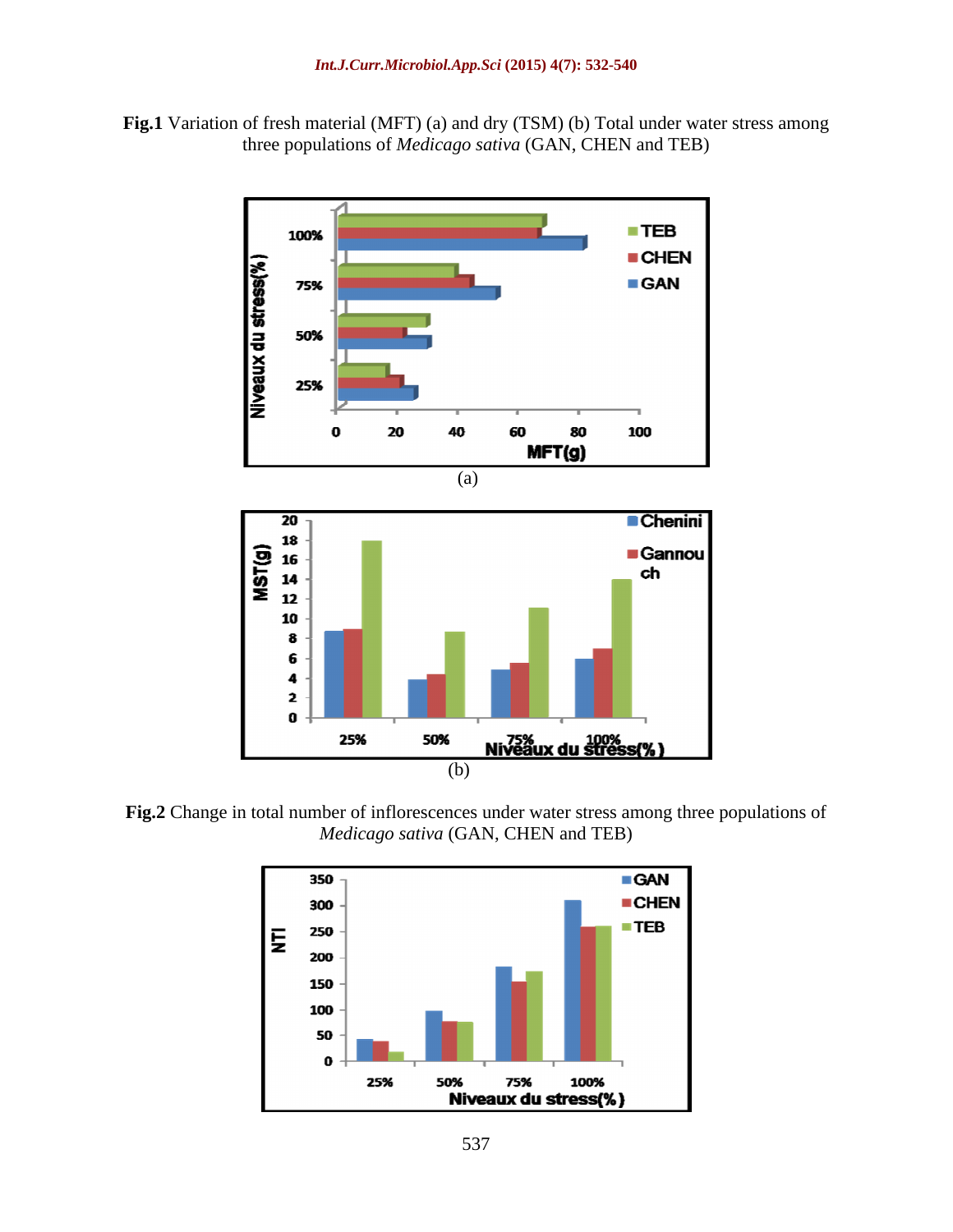**Fig.1** Variation of fresh material (MFT) (a) and dry (TSM) (b) Total under water stress among three populations of *Medicago sativa* (GAN, CHEN and TEB)



**Fig.2** Change in total number of inflorescences under water stress among three populations of *Medicago sativa* (GAN, CHEN and TEB)

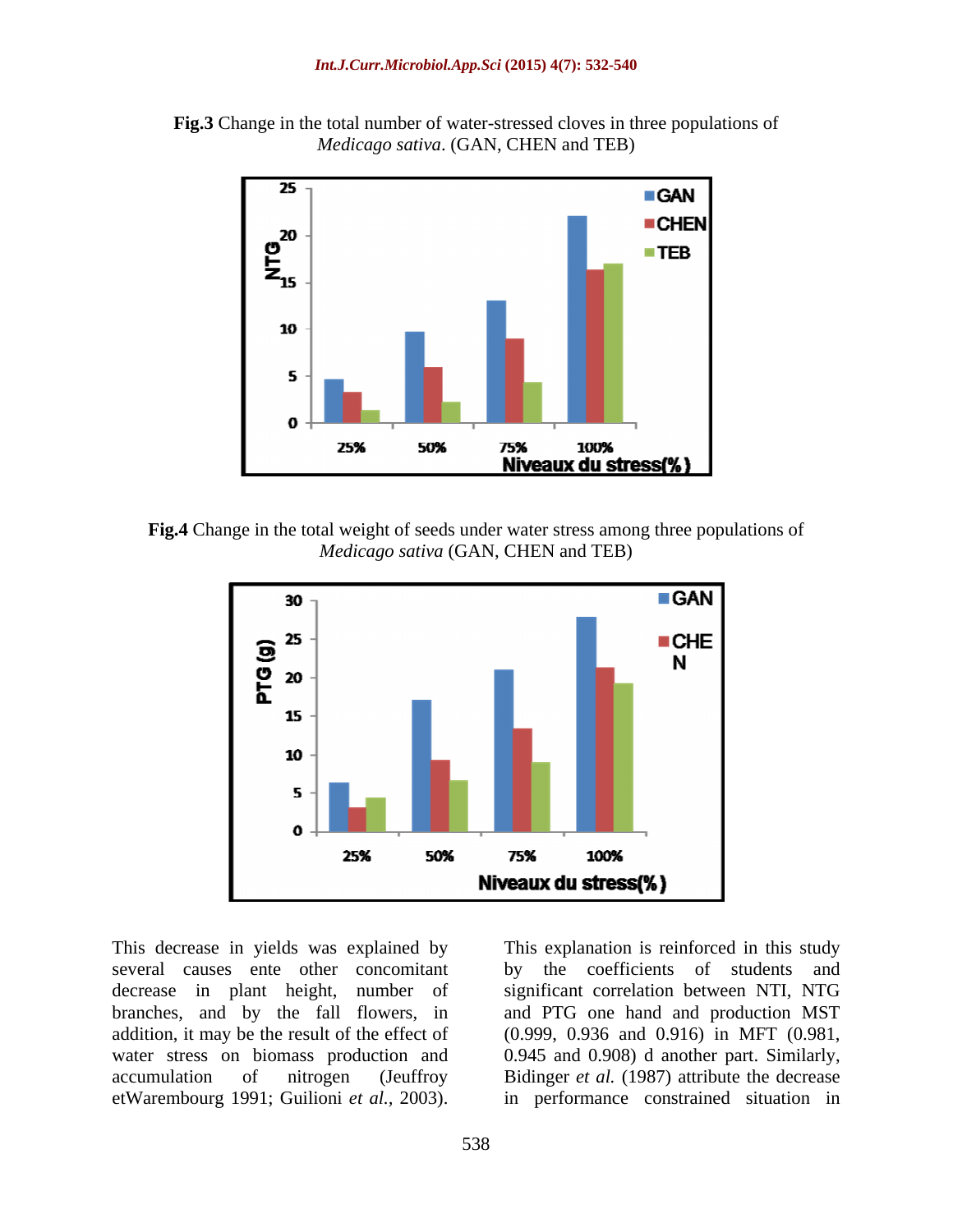



**Fig.4** Change in the total weight of seeds under water stress among three populations of *Medicago sativa* (GAN, CHEN and TEB)



several causes ente other concomitant decrease in plant height, number of significant correlation between NTI, NTG branches, and by the fall flowers, in and PTG one hand and production MST addition, it may be the result of the effect of (0.999, 0.936 and 0.916) in MFT (0.981, water stress on biomass production and 0.945 and 0.908) d another part. Similarly, accumulation of nitrogen (Jeuffroy Bidinger *et al.* (1987) attribute the decrease

This decrease in yields was explained by This explanation is reinforced in this study This decrease in yields was explained by<br>several causes ente other concomitant by the coefficients of students and<br>decrease in plant height, number of significant correlation between NTI, NTG<br>branches, and by the fall flow by the coefficients of students and in performance constrained situation in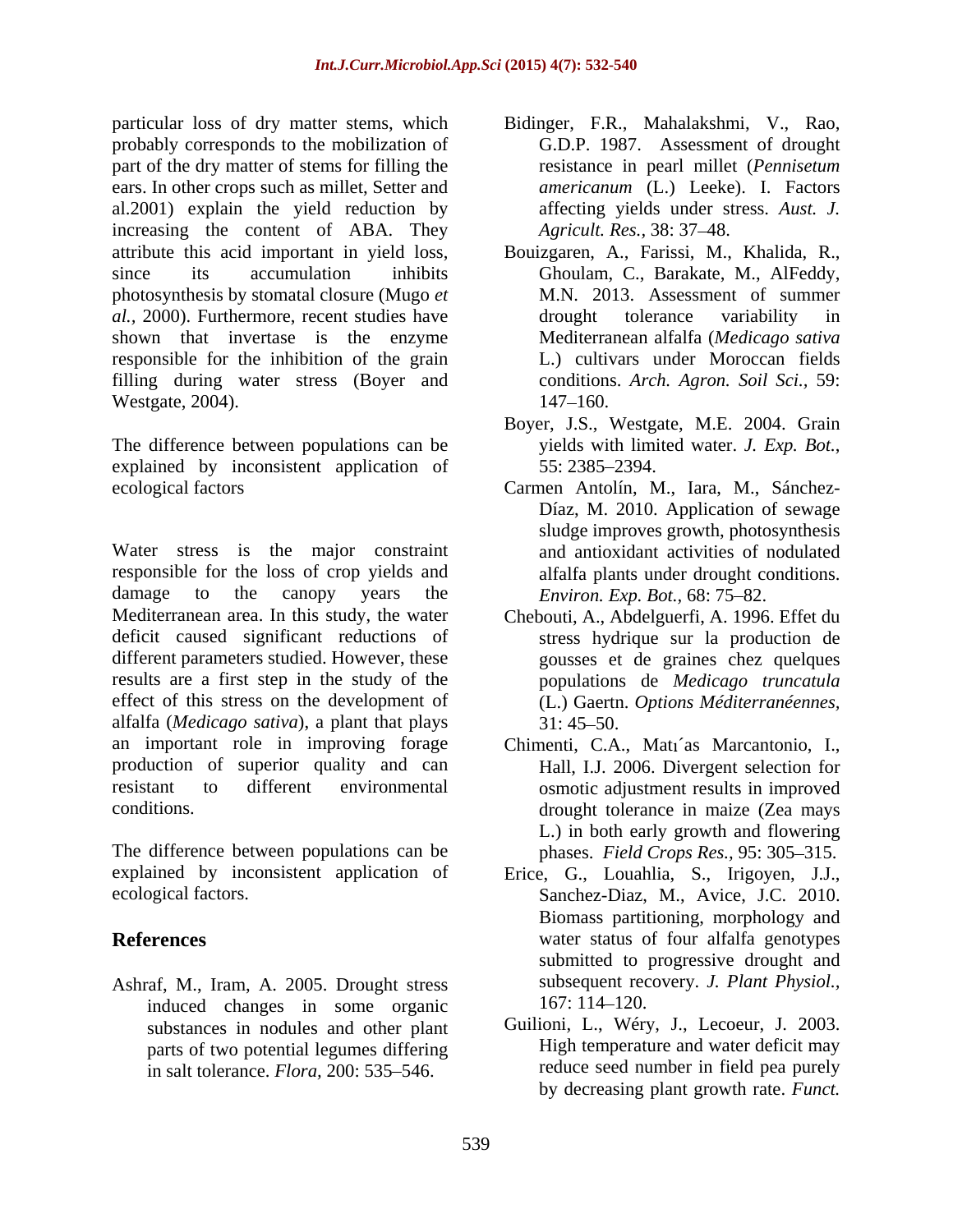particular loss of dry matter stems, which Bidinger, F.R., Mahalakshmi, V., Rao, probably corresponds to the mobilization of part of the dry matter of stems for filling the ears. In other crops such as millet, Setter and al.2001) explain the yield reduction by increasing the content of ABA. They attribute this acid important in yield loss, photosynthesis by stomatal closure (Mugo *et al.,* 2000). Furthermore, recent studies have shown that invertase is the enzyme responsible for the inhibition of the grain filling during water stress (Boyer and Westgate, 2004). 147–160.

The difference between populations can be yields with limited water. J. Exp. Bot., explained by inconsistent application of 55:2385–2394.

Water stress is the major constraint responsible for the loss of crop yields and damage to the canopy years the *Environ. Exp. Bot.*, 68: 75–82. Mediterranean area. In this study, the water Chebouti, A., Abdelguerfi, A. 1996. Effet du deficit caused significant reductions of stress hydrique sur la production de different parameters studied. However, these results are a first step in the study of the effect of this stress on the development of alfalfa (*Medicago sativa*), a plant that plays an important role in improving forage production of superior quality and can Hall, I.J. 2006. Divergent selection for resistant to different environmental osmotic adjustment results in improved

The difference between populations can be explained by inconsistent application of

Ashraf, M., Iram, A. 2005. Drought stress subsequent rec<br>induced changes in some organic 167:114–120. induced changes in some organic substances in nodules and other plant parts of two potential legumes differing in salt tolerance. *Flora*, 200: 535–546.

- G.D.P. 1987. Assessment of drought resistance in pearl millet (*Pennisetum americanum* (L.) Leeke). I. Factors affecting yields under stress. *Aust. J. Agricult. Res.,* 38: 37 48.
- since its accumulation inhibits Ghoulam, C., Barakate, M., AlFeddy, Bouizgaren, A., Farissi, M., Khalida, R., M.N. 2013. Assessment of summer drought tolerance variability in Mediterranean alfalfa (*Medicago sativa* L.) cultivars under Moroccan fields conditions. *Arch. Agron. Soil Sci.,* 59: 147–160.
	- Boyer, J.S., Westgate, M.E. 2004. Grain yields with limited water. *J. Exp. Bot.*, 55: 2385 2394.
- ecological factors Carmen Antolín, M., Iara, M., Sánchez- Díaz, M. 2010. Application of sewage sludge improves growth, photosynthesis and antioxidant activities of nodulated alfalfa plants under drought conditions.
	- gousses et de graines chez quelques populations de *Medicago truncatula* (L.) Gaertn. *Options Méditerranéennes,*  $31:45 - 50.$
- conditions. drought tolerance in maize (Zea mays Chimenti, C.A., Mati'as Marcantonio, I., L.) in both early growth and flowering phases. *Field Crops Res.*, 95: 305-315.
- ecological factors. Sanchez-Diaz, M., Avice, J.C. 2010. **References** water status of four alfalfa genotypes Erice, G., Louahlia, S., Irigoyen, J.J., Biomass partitioning, morphology and submitted to progressive drought and subsequent recovery. *J. Plant Physiol.,* 167: 114 120.
	- Guilioni, L., Wéry, J., Lecoeur, J. 2003. High temperature and water deficit may reduce seed number in field pea purely by decreasing plant growth rate. *Funct.*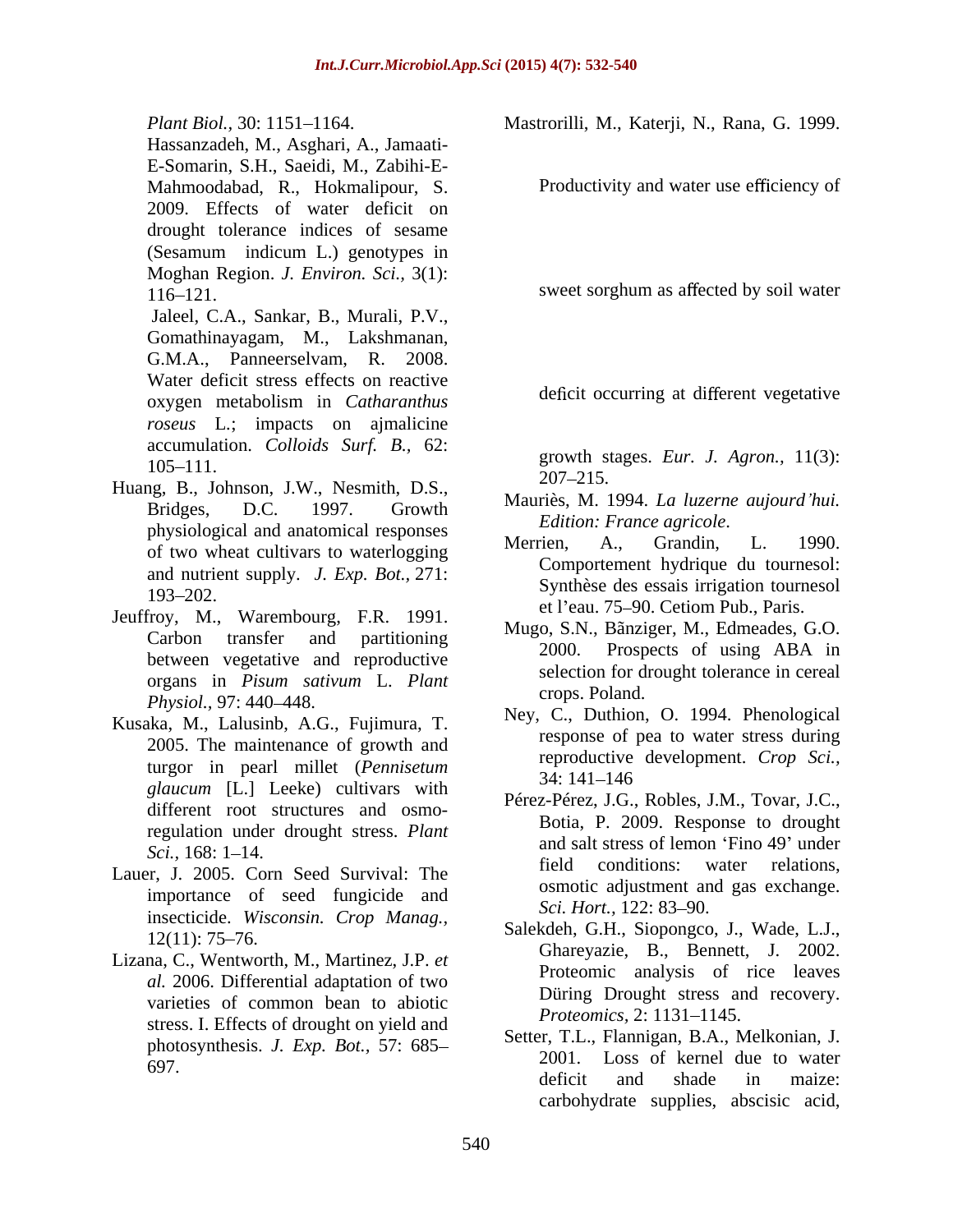Hassanzadeh, M., Asghari, A., Jamaati- E-Somarin, S.H., Saeidi, M., Zabihi-E- Mahmoodabad, R., Hokmalipour, S. Productivity and water use efficiency of 2009. Effects of water deficit on drought tolerance indices of sesame (Sesamum indicum L.) genotypes in Moghan Region. *J. Environ. Sci.,* 3(1): 116–121.

Jaleel, C.A., Sankar, B., Murali, P.V., Gomathinayagam, M., Lakshmanan, G.M.A., Panneerselvam, R. 2008. Water deficit stress effects on reactive oxygen metabolism in *Catharanthus roseus* L*.*; impacts on ajmalicine accumulation. *Colloids Surf. B.,* 62:

- Huang, B., Johnson, J.W., Nesmith, D.S., 207–215. physiological and anatomical responses<br>Merrien. A., Grandin. L. 1990. of two wheat cultivars to waterlogging and nutrient supply. *J. Exp. Bot.,* 271:
- Jeuffroy, M., Warembourg, F.R. 1991. organs in *Pisum sativum* L. *Plant Physiol.*, 97: 440–448. Crops. Formul.
- Kusaka, M., Lalusinb, A.G., Fujimura, T. 2005. The maintenance of growth and turgor in pearl millet (*Pennisetum* ieproductive is  $\frac{1}{34:141-146}$ *glaucum* [L.] Leeke) cultivars with different root structures and osmoregulation under drought stress. *Plant*
- importance of seed fungicide and  $\frac{\text{c}}{\text{S}}$  Sect. Hort., 122: 83–90. insecticide. *Wisconsin. Crop Manag.,*
- Lizana, C., Wentworth, M., Martinez, J.P. *et al.* 2006. Differential adaptation of two varieties of common bean to abiotic buring Drought stress and protection of the contract of the contract of the protection of the contract of the contract of the contract of the contract of the contract of the contract of stress. I. Effects of drought on yield and photosynthesis. *J. Exp. Bot.,* 57: 685

Plant Biol., 30: 1151–1164. **Mastrorilli, M., Katerji, N., Rana, G.** 1999.

deficit occurring at different vegetative

 $105-111.$  growth stages. *Eur. J. Agron.*, 11(*J*). growth stages. *Eur. J. Agron.,* 11(3): 207 215.

- Bridges, D.C. 1997. Growth Mauriès, M. 1994. *La luzerne aujourd hui. Edition: France agricole*.
- $\frac{193-202}{20}$ . Merrien, A., Grandin, L. 1990. Comportement hydrique du tournesol: Synthèse des essais irrigation tournesol et l'eau. 75-90. Cetiom Pub., Paris.
- Carbon transfer and partitioning  $\frac{Mug_0, S.N., \text{ Dallziger}, M., \text{ Lumcales}, O.O.}{2000}$ between vegetative and reproductive 2000. Prospects of using ABA in Mugo, S.N., Bãnziger, M., Edmeades, G.O. 2000. Prospects of using ABA in selection for drought tolerance in cereal crops. Poland.
	- Ney, C., Duthion, O. 1994. Phenological response of pea to water stress during reproductive development. *Crop Sci.,* 34: 141 146
- *Sci.*,  $168: 1-14$ . Lauer, J. 2005. Corn Seed Survival: The field conditions: water relations, Pérez-Pérez, J.G., Robles, J.M., Tovar, J.C., Botia, P. 2009. Response to drought and salt stress of lemon 'Fino 49' under field conditions: water relations, osmotic adjustment and gas exchange. *Sci. Hort.,* 122: 83–90.
	- $12(11)$ : 75–76. Salender, O.H., Slopongeo, J., Water, L.J., Salekdeh, G.H., Siopongco, J., Wade, L.J., Ghareyazie, B., Bennett, J. 2002. Proteomic analysis of rice leaves Düring Drought stress and recovery. *Proteomics,* 2: 1131–1145.
	- $\frac{2001}{2001}$ . Loss of kernel due to water  $\frac{2001}{2001}$ . Setter, T.L., Flannigan, B.A., Melkonian, J. deficit and shade in maize: carbohydrate supplies, abscisic acid,